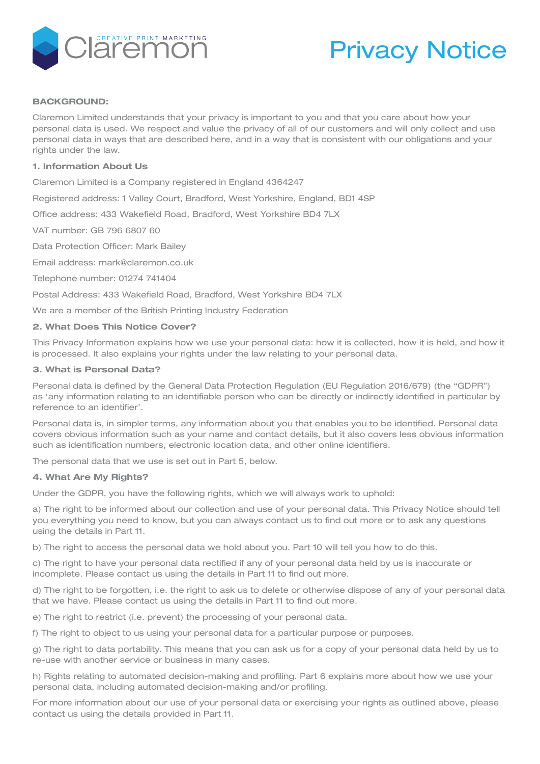

# Privacy Notice

#### **BACKGROUND:**

Claremon Limited understands that your privacy is important to you and that you care about how your personal data is used. We respect and value the privacy of all of our customers and will only collect and use personal data in ways that are described here, and in a way that is consistent with our obligations and your rights under the law.

#### **1. Information About Us**

Claremon Limited is a Company registered in England 4364247

Registered address: 1 Valley Court, Bradford, West Yorkshire, England, BD1 4SP

Office address: 433 Wakefield Road, Bradford, West Yorkshire BD4 7LX

VAT number: GB 796 6807 60

Data Protection Officer: Mark Bailey

Email address: mark@claremon.co.uk

Telephone number: 01274 741404

Postal Address: 433 Wakefield Road, Bradford, West Yorkshire BD4 7LX

We are a member of the British Printing Industry Federation

## **2. What Does This Notice Cover?**

This Privacy Information explains how we use your personal data: how it is collected, how it is held, and how it is processed. It also explains your rights under the law relating to your personal data.

#### **3. What is Personal Data?**

Personal data is defined by the General Data Protection Regulation (EU Regulation 2016/679) (the "GDPR") as 'any information relating to an identifiable person who can be directly or indirectly identified in particular by reference to an identifier'.

Personal data is, in simpler terms, any information about you that enables you to be identified. Personal data covers obvious information such as your name and contact details, but it also covers less obvious information such as identification numbers, electronic location data, and other online identifiers.

The personal data that we use is set out in Part 5, below.

#### **4. What Are My Rights?**

Under the GDPR, you have the following rights, which we will always work to uphold:

a) The right to be informed about our collection and use of your personal data. This Privacy Notice should tell you everything you need to know, but you can always contact us to find out more or to ask any questions using the details in Part 11.

b) The right to access the personal data we hold about you. Part 10 will tell you how to do this.

c) The right to have your personal data rectified if any of your personal data held by us is inaccurate or incomplete. Please contact us using the details in Part 11 to find out more.

d) The right to be forgotten, i.e. the right to ask us to delete or otherwise dispose of any of your personal data that we have. Please contact us using the details in Part 11 to find out more.

e) The right to restrict (i.e. prevent) the processing of your personal data.

f) The right to object to us using your personal data for a particular purpose or purposes.

g) The right to data portability. This means that you can ask us for a copy of your personal data held by us to re-use with another service or business in many cases.

h) Rights relating to automated decision-making and profiling. Part 6 explains more about how we use your personal data, including automated decision-making and/or profiling.

For more information about our use of your personal data or exercising your rights as outlined above, please contact us using the details provided in Part 11.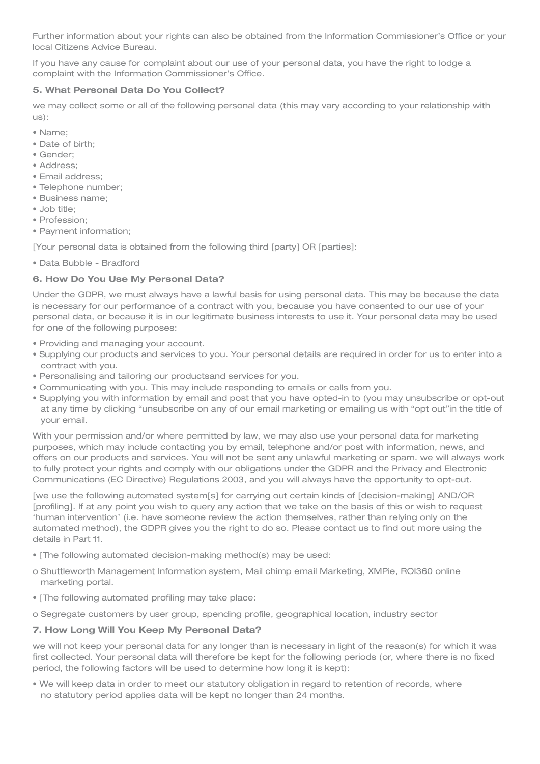Further information about your rights can also be obtained from the Information Commissioner's Office or your local Citizens Advice Bureau.

If you have any cause for complaint about our use of your personal data, you have the right to lodge a complaint with the Information Commissioner's Office.

# **5. What Personal Data Do You Collect?**

we may collect some or all of the following personal data (this may vary according to your relationship with us):

- Name;
- Date of birth;
- Gender;
- Address;
- Email address;
- Telephone number;
- Business name;
- Job title;
- Profession;
- Payment information;

[Your personal data is obtained from the following third [party] OR [parties]:

• Data Bubble - Bradford

# **6. How Do You Use My Personal Data?**

Under the GDPR, we must always have a lawful basis for using personal data. This may be because the data is necessary for our performance of a contract with you, because you have consented to our use of your personal data, or because it is in our legitimate business interests to use it. Your personal data may be used for one of the following purposes:

- Providing and managing your account.
- Supplying our products and services to you. Your personal details are required in order for us to enter into a contract with you.
- Personalising and tailoring our productsand services for you.
- Communicating with you. This may include responding to emails or calls from you.
- Supplying you with information by email and post that you have opted-in to (you may unsubscribe or opt-out at any time by clicking "unsubscribe on any of our email marketing or emailing us with "opt out"in the title of your email.

With your permission and/or where permitted by law, we may also use your personal data for marketing purposes, which may include contacting you by email, telephone and/or post with information, news, and offers on our products and services. You will not be sent any unlawful marketing or spam. we will always work to fully protect your rights and comply with our obligations under the GDPR and the Privacy and Electronic Communications (EC Directive) Regulations 2003, and you will always have the opportunity to opt-out.

[we use the following automated system[s] for carrying out certain kinds of [decision-making] AND/OR [profiling]. If at any point you wish to query any action that we take on the basis of this or wish to request 'human intervention' (i.e. have someone review the action themselves, rather than relying only on the automated method), the GDPR gives you the right to do so. Please contact us to find out more using the details in Part 11.

- [The following automated decision-making method(s) may be used:
- o Shuttleworth Management Information system, Mail chimp email Marketing, XMPie, ROI360 online marketing portal.
- [The following automated profiling may take place:

o Segregate customers by user group, spending profile, geographical location, industry sector

# **7. How Long Will You Keep My Personal Data?**

we will not keep your personal data for any longer than is necessary in light of the reason(s) for which it was first collected. Your personal data will therefore be kept for the following periods (or, where there is no fixed period, the following factors will be used to determine how long it is kept):

• We will keep data in order to meet our statutory obligation in regard to retention of records, where no statutory period applies data will be kept no longer than 24 months.